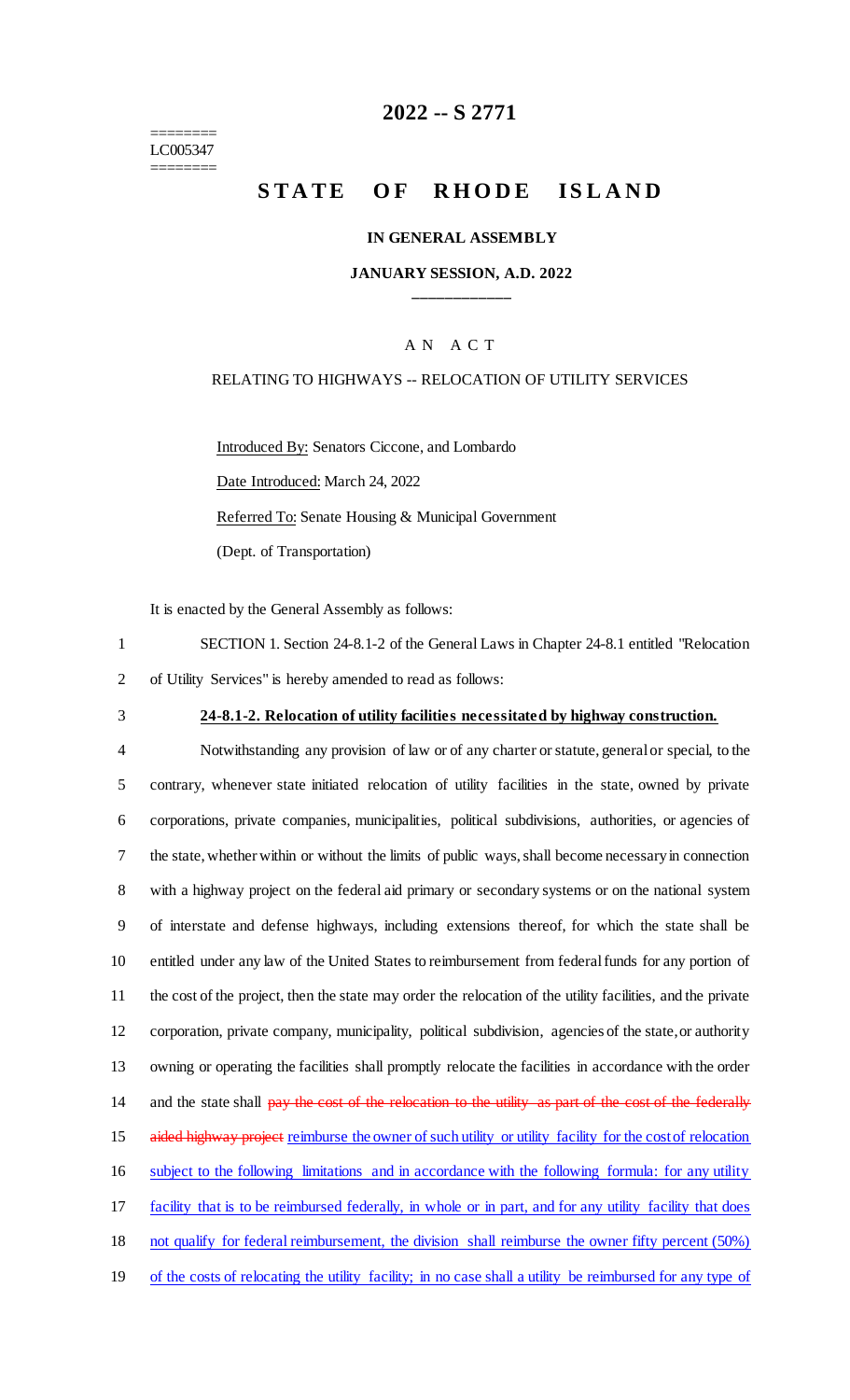======== LC005347 ========

# **2022 -- S 2771**

# **STATE OF RHODE ISLAND**

#### **IN GENERAL ASSEMBLY**

#### **JANUARY SESSION, A.D. 2022 \_\_\_\_\_\_\_\_\_\_\_\_**

#### A N A C T

#### RELATING TO HIGHWAYS -- RELOCATION OF UTILITY SERVICES

Introduced By: Senators Ciccone, and Lombardo Date Introduced: March 24, 2022 Referred To: Senate Housing & Municipal Government (Dept. of Transportation)

It is enacted by the General Assembly as follows:

1 SECTION 1. Section 24-8.1-2 of the General Laws in Chapter 24-8.1 entitled "Relocation 2 of Utility Services" is hereby amended to read as follows:

#### 3 **24-8.1-2. Relocation of utility facilities necessitated by highway construction.**

 Notwithstanding any provision of law or of any charter or statute, general or special, to the contrary, whenever state initiated relocation of utility facilities in the state, owned by private corporations, private companies, municipalities, political subdivisions, authorities, or agencies of the state, whether within or without the limits of public ways, shall become necessary in connection with a highway project on the federal aid primary or secondary systems or on the national system of interstate and defense highways, including extensions thereof, for which the state shall be entitled under any law of the United States to reimbursement from federal funds for any portion of the cost of the project, then the state may order the relocation of the utility facilities, and the private corporation, private company, municipality, political subdivision, agencies of the state, or authority owning or operating the facilities shall promptly relocate the facilities in accordance with the order 14 and the state shall pay the cost of the relocation to the utility as part of the cost of the federally 15 aided highway project reimburse the owner of such utility or utility facility for the cost of relocation subject to the following limitations and in accordance with the following formula: for any utility facility that is to be reimbursed federally, in whole or in part, and for any utility facility that does not qualify for federal reimbursement, the division shall reimburse the owner fifty percent (50%) of the costs of relocating the utility facility; in no case shall a utility be reimbursed for any type of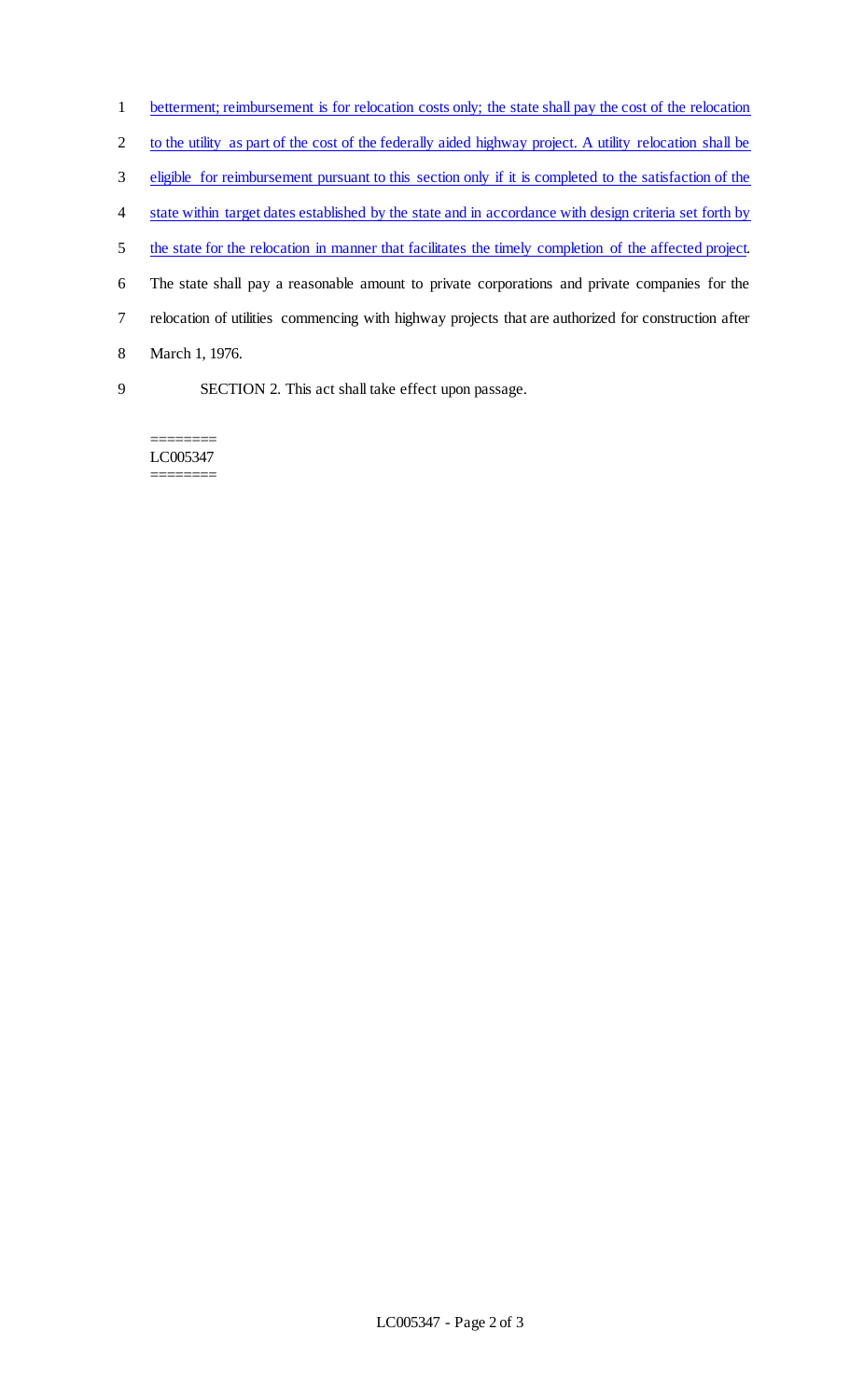| $\mathbf{1}$   | betterment; reimbursement is for relocation costs only; the state shall pay the cost of the relocation   |
|----------------|----------------------------------------------------------------------------------------------------------|
| $\overline{2}$ | to the utility as part of the cost of the federally aided highway project. A utility relocation shall be |
| 3              | eligible for reimbursement pursuant to this section only if it is completed to the satisfaction of the   |
| 4              | state within target dates established by the state and in accordance with design criteria set forth by   |
| 5              | the state for the relocation in manner that facilitates the timely completion of the affected project.   |
| 6              | The state shall pay a reasonable amount to private corporations and private companies for the            |
| $\tau$         | relocation of utilities commencing with highway projects that are authorized for construction after      |
| 8              | March 1, 1976.                                                                                           |
| 9              | SECTION 2. This act shall take effect upon passage.                                                      |

======== LC005347 ========